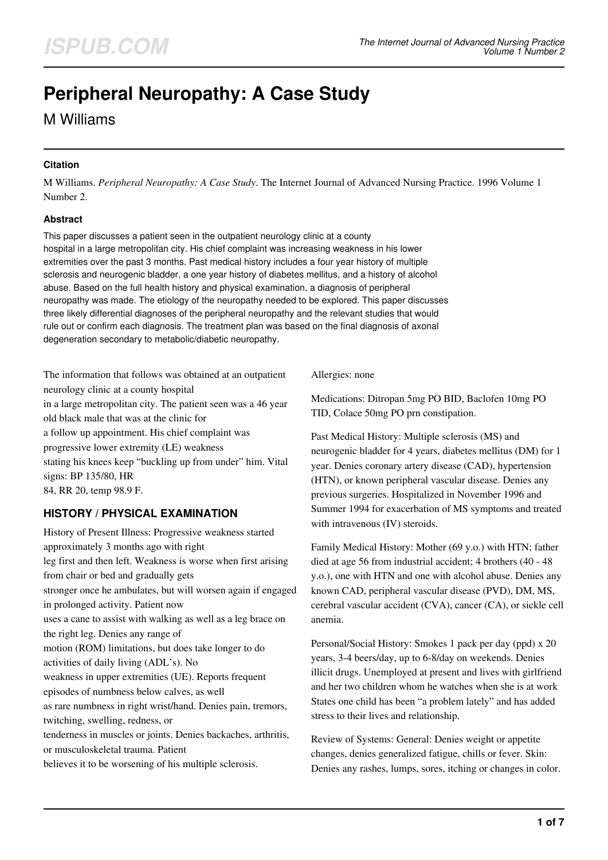# **Peripheral Neuropathy: A Case Study**

## M Williams

#### **Citation**

M Williams. *Peripheral Neuropathy: A Case Study*. The Internet Journal of Advanced Nursing Practice. 1996 Volume 1 Number 2.

#### **Abstract**

This paper discusses a patient seen in the outpatient neurology clinic at a county hospital in a large metropolitan city. His chief complaint was increasing weakness in his lower extremities over the past 3 months. Past medical history includes a four year history of multiple sclerosis and neurogenic bladder, a one year history of diabetes mellitus, and a history of alcohol abuse. Based on the full health history and physical examination, a diagnosis of peripheral neuropathy was made. The etiology of the neuropathy needed to be explored. This paper discusses three likely differential diagnoses of the peripheral neuropathy and the relevant studies that would rule out or confirm each diagnosis. The treatment plan was based on the final diagnosis of axonal degeneration secondary to metabolic/diabetic neuropathy.

The information that follows was obtained at an outpatient neurology clinic at a county hospital in a large metropolitan city. The patient seen was a 46 year old black male that was at the clinic for a follow up appointment. His chief complaint was progressive lower extremity (LE) weakness stating his knees keep "buckling up from under" him. Vital signs: BP 135/80, HR 84, RR 20, temp 98.9 F.

### **HISTORY / PHYSICAL EXAMINATION**

History of Present Illness: Progressive weakness started approximately 3 months ago with right leg first and then left. Weakness is worse when first arising from chair or bed and gradually gets stronger once he ambulates, but will worsen again if engaged in prolonged activity. Patient now uses a cane to assist with walking as well as a leg brace on the right leg. Denies any range of motion (ROM) limitations, but does take longer to do activities of daily living (ADL's). No weakness in upper extremities (UE). Reports frequent episodes of numbness below calves, as well as rare numbness in right wrist/hand. Denies pain, tremors, twitching, swelling, redness, or tenderness in muscles or joints. Denies backaches, arthritis, or musculoskeletal trauma. Patient believes it to be worsening of his multiple sclerosis.

Allergies: none

Medications: Ditropan 5mg PO BID, Baclofen 10mg PO TID, Colace 50mg PO prn constipation.

Past Medical History: Multiple sclerosis (MS) and neurogenic bladder for 4 years, diabetes mellitus (DM) for 1 year. Denies coronary artery disease (CAD), hypertension (HTN), or known peripheral vascular disease. Denies any previous surgeries. Hospitalized in November 1996 and Summer 1994 for exacerbation of MS symptoms and treated with intravenous (IV) steroids.

Family Medical History: Mother (69 y.o.) with HTN; father died at age 56 from industrial accident; 4 brothers (40 - 48 y.o.), one with HTN and one with alcohol abuse. Denies any known CAD, peripheral vascular disease (PVD), DM, MS, cerebral vascular accident (CVA), cancer (CA), or sickle cell anemia.

Personal/Social History: Smokes 1 pack per day (ppd) x 20 years, 3-4 beers/day, up to 6-8/day on weekends. Denies illicit drugs. Unemployed at present and lives with girlfriend and her two children whom he watches when she is at work States one child has been "a problem lately" and has added stress to their lives and relationship.

Review of Systems: General: Denies weight or appetite changes, denies generalized fatigue, chills or fever. Skin: Denies any rashes, lumps, sores, itching or changes in color.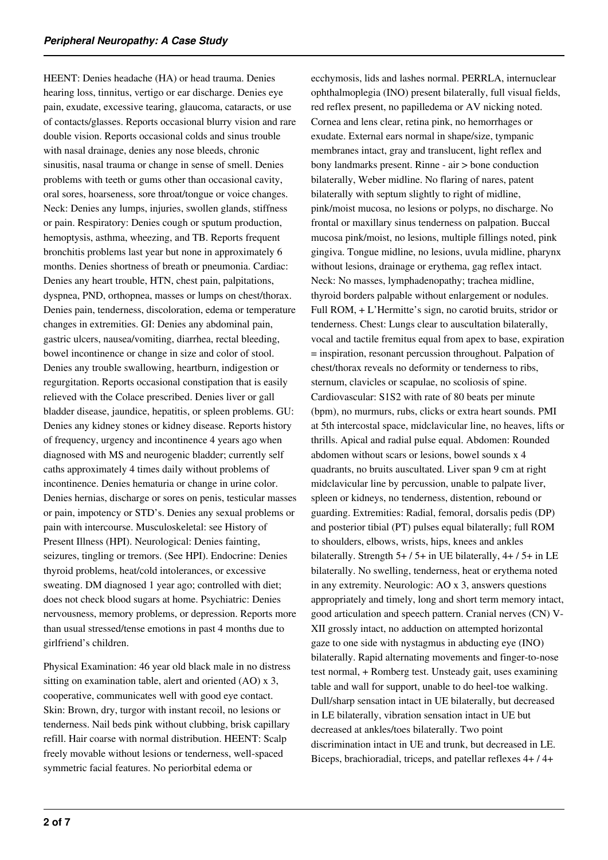HEENT: Denies headache (HA) or head trauma. Denies hearing loss, tinnitus, vertigo or ear discharge. Denies eye pain, exudate, excessive tearing, glaucoma, cataracts, or use of contacts/glasses. Reports occasional blurry vision and rare double vision. Reports occasional colds and sinus trouble with nasal drainage, denies any nose bleeds, chronic sinusitis, nasal trauma or change in sense of smell. Denies problems with teeth or gums other than occasional cavity, oral sores, hoarseness, sore throat/tongue or voice changes. Neck: Denies any lumps, injuries, swollen glands, stiffness or pain. Respiratory: Denies cough or sputum production, hemoptysis, asthma, wheezing, and TB. Reports frequent bronchitis problems last year but none in approximately 6 months. Denies shortness of breath or pneumonia. Cardiac: Denies any heart trouble, HTN, chest pain, palpitations, dyspnea, PND, orthopnea, masses or lumps on chest/thorax. Denies pain, tenderness, discoloration, edema or temperature changes in extremities. GI: Denies any abdominal pain, gastric ulcers, nausea/vomiting, diarrhea, rectal bleeding, bowel incontinence or change in size and color of stool. Denies any trouble swallowing, heartburn, indigestion or regurgitation. Reports occasional constipation that is easily relieved with the Colace prescribed. Denies liver or gall bladder disease, jaundice, hepatitis, or spleen problems. GU: Denies any kidney stones or kidney disease. Reports history of frequency, urgency and incontinence 4 years ago when diagnosed with MS and neurogenic bladder; currently self caths approximately 4 times daily without problems of incontinence. Denies hematuria or change in urine color. Denies hernias, discharge or sores on penis, testicular masses or pain, impotency or STD's. Denies any sexual problems or pain with intercourse. Musculoskeletal: see History of Present Illness (HPI). Neurological: Denies fainting, seizures, tingling or tremors. (See HPI). Endocrine: Denies thyroid problems, heat/cold intolerances, or excessive sweating. DM diagnosed 1 year ago; controlled with diet; does not check blood sugars at home. Psychiatric: Denies nervousness, memory problems, or depression. Reports more than usual stressed/tense emotions in past 4 months due to girlfriend's children.

Physical Examination: 46 year old black male in no distress sitting on examination table, alert and oriented (AO) x 3, cooperative, communicates well with good eye contact. Skin: Brown, dry, turgor with instant recoil, no lesions or tenderness. Nail beds pink without clubbing, brisk capillary refill. Hair coarse with normal distribution. HEENT: Scalp freely movable without lesions or tenderness, well-spaced symmetric facial features. No periorbital edema or

ecchymosis, lids and lashes normal. PERRLA, internuclear ophthalmoplegia (INO) present bilaterally, full visual fields, red reflex present, no papilledema or AV nicking noted. Cornea and lens clear, retina pink, no hemorrhages or exudate. External ears normal in shape/size, tympanic membranes intact, gray and translucent, light reflex and bony landmarks present. Rinne - air > bone conduction bilaterally, Weber midline. No flaring of nares, patent bilaterally with septum slightly to right of midline, pink/moist mucosa, no lesions or polyps, no discharge. No frontal or maxillary sinus tenderness on palpation. Buccal mucosa pink/moist, no lesions, multiple fillings noted, pink gingiva. Tongue midline, no lesions, uvula midline, pharynx without lesions, drainage or erythema, gag reflex intact. Neck: No masses, lymphadenopathy; trachea midline, thyroid borders palpable without enlargement or nodules. Full ROM, + L'Hermitte's sign, no carotid bruits, stridor or tenderness. Chest: Lungs clear to auscultation bilaterally, vocal and tactile fremitus equal from apex to base, expiration = inspiration, resonant percussion throughout. Palpation of chest/thorax reveals no deformity or tenderness to ribs, sternum, clavicles or scapulae, no scoliosis of spine. Cardiovascular: S1S2 with rate of 80 beats per minute (bpm), no murmurs, rubs, clicks or extra heart sounds. PMI at 5th intercostal space, midclavicular line, no heaves, lifts or thrills. Apical and radial pulse equal. Abdomen: Rounded abdomen without scars or lesions, bowel sounds x 4 quadrants, no bruits auscultated. Liver span 9 cm at right midclavicular line by percussion, unable to palpate liver, spleen or kidneys, no tenderness, distention, rebound or guarding. Extremities: Radial, femoral, dorsalis pedis (DP) and posterior tibial (PT) pulses equal bilaterally; full ROM to shoulders, elbows, wrists, hips, knees and ankles bilaterally. Strength 5+ / 5+ in UE bilaterally, 4+ / 5+ in LE bilaterally. No swelling, tenderness, heat or erythema noted in any extremity. Neurologic: AO x 3, answers questions appropriately and timely, long and short term memory intact, good articulation and speech pattern. Cranial nerves (CN) V-XII grossly intact, no adduction on attempted horizontal gaze to one side with nystagmus in abducting eye (INO) bilaterally. Rapid alternating movements and finger-to-nose test normal, + Romberg test. Unsteady gait, uses examining table and wall for support, unable to do heel-toe walking. Dull/sharp sensation intact in UE bilaterally, but decreased in LE bilaterally, vibration sensation intact in UE but decreased at ankles/toes bilaterally. Two point discrimination intact in UE and trunk, but decreased in LE. Biceps, brachioradial, triceps, and patellar reflexes 4+ / 4+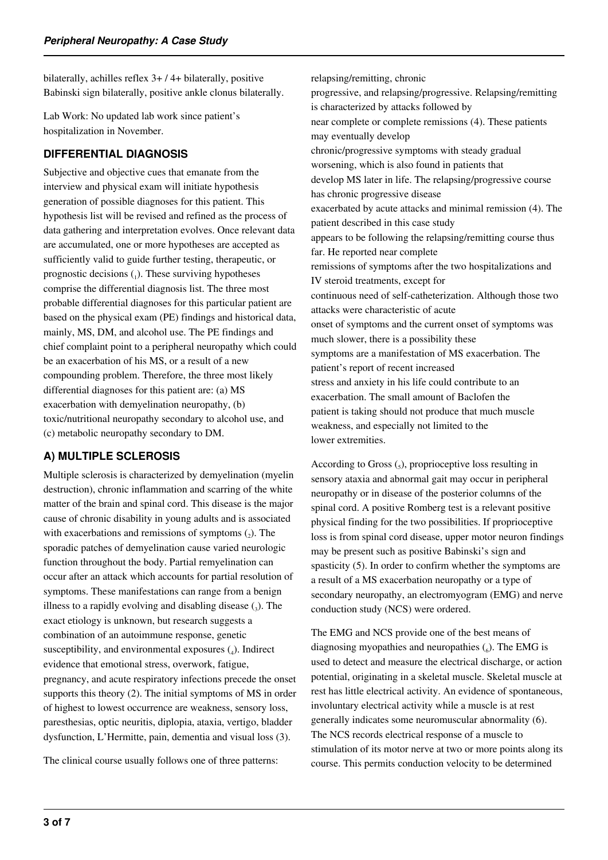bilaterally, achilles reflex 3+ / 4+ bilaterally, positive Babinski sign bilaterally, positive ankle clonus bilaterally.

Lab Work: No updated lab work since patient's hospitalization in November.

## **DIFFERENTIAL DIAGNOSIS**

Subjective and objective cues that emanate from the interview and physical exam will initiate hypothesis generation of possible diagnoses for this patient. This hypothesis list will be revised and refined as the process of data gathering and interpretation evolves. Once relevant data are accumulated, one or more hypotheses are accepted as sufficiently valid to guide further testing, therapeutic, or prognostic decisions  $_{(1)}$ . These surviving hypotheses comprise the differential diagnosis list. The three most probable differential diagnoses for this particular patient are based on the physical exam (PE) findings and historical data, mainly, MS, DM, and alcohol use. The PE findings and chief complaint point to a peripheral neuropathy which could be an exacerbation of his MS, or a result of a new compounding problem. Therefore, the three most likely differential diagnoses for this patient are: (a) MS exacerbation with demyelination neuropathy, (b) toxic/nutritional neuropathy secondary to alcohol use, and (c) metabolic neuropathy secondary to DM.

## **A) MULTIPLE SCLEROSIS**

Multiple sclerosis is characterized by demyelination (myelin destruction), chronic inflammation and scarring of the white matter of the brain and spinal cord. This disease is the major cause of chronic disability in young adults and is associated with exacerbations and remissions of symptoms  $(_{2})$ . The sporadic patches of demyelination cause varied neurologic function throughout the body. Partial remyelination can occur after an attack which accounts for partial resolution of symptoms. These manifestations can range from a benign illness to a rapidly evolving and disabling disease  $(_{3})$ . The exact etiology is unknown, but research suggests a combination of an autoimmune response, genetic susceptibility, and environmental exposures  $(_{4})$ . Indirect evidence that emotional stress, overwork, fatigue, pregnancy, and acute respiratory infections precede the onset supports this theory (2). The initial symptoms of MS in order of highest to lowest occurrence are weakness, sensory loss, paresthesias, optic neuritis, diplopia, ataxia, vertigo, bladder dysfunction, L'Hermitte, pain, dementia and visual loss (3).

The clinical course usually follows one of three patterns:

relapsing/remitting, chronic progressive, and relapsing/progressive. Relapsing/remitting is characterized by attacks followed by near complete or complete remissions (4). These patients may eventually develop chronic/progressive symptoms with steady gradual worsening, which is also found in patients that develop MS later in life. The relapsing/progressive course has chronic progressive disease exacerbated by acute attacks and minimal remission (4). The patient described in this case study appears to be following the relapsing/remitting course thus far. He reported near complete remissions of symptoms after the two hospitalizations and IV steroid treatments, except for continuous need of self-catheterization. Although those two attacks were characteristic of acute onset of symptoms and the current onset of symptoms was much slower, there is a possibility these symptoms are a manifestation of MS exacerbation. The patient's report of recent increased stress and anxiety in his life could contribute to an exacerbation. The small amount of Baclofen the patient is taking should not produce that much muscle weakness, and especially not limited to the lower extremities.

According to Gross  $\binom{1}{5}$ , proprioceptive loss resulting in sensory ataxia and abnormal gait may occur in peripheral neuropathy or in disease of the posterior columns of the spinal cord. A positive Romberg test is a relevant positive physical finding for the two possibilities. If proprioceptive loss is from spinal cord disease, upper motor neuron findings may be present such as positive Babinski's sign and spasticity (5). In order to confirm whether the symptoms are a result of a MS exacerbation neuropathy or a type of secondary neuropathy, an electromyogram (EMG) and nerve conduction study (NCS) were ordered.

The EMG and NCS provide one of the best means of diagnosing myopathies and neuropathies  $\binom{6}{6}$ . The EMG is used to detect and measure the electrical discharge, or action potential, originating in a skeletal muscle. Skeletal muscle at rest has little electrical activity. An evidence of spontaneous, involuntary electrical activity while a muscle is at rest generally indicates some neuromuscular abnormality (6). The NCS records electrical response of a muscle to stimulation of its motor nerve at two or more points along its course. This permits conduction velocity to be determined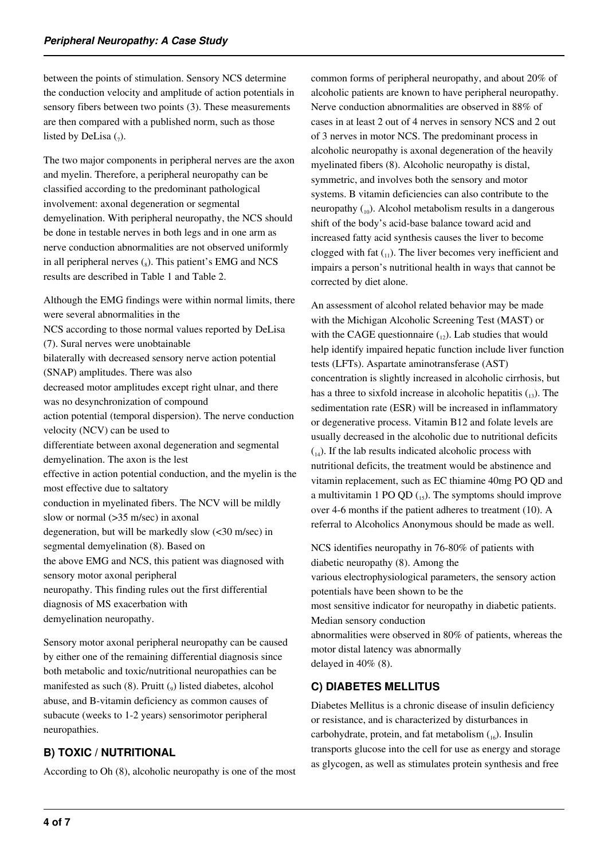between the points of stimulation. Sensory NCS determine the conduction velocity and amplitude of action potentials in sensory fibers between two points (3). These measurements are then compared with a published norm, such as those listed by DeLisa  $\binom{7}{7}$ .

The two major components in peripheral nerves are the axon and myelin. Therefore, a peripheral neuropathy can be classified according to the predominant pathological involvement: axonal degeneration or segmental demyelination. With peripheral neuropathy, the NCS should be done in testable nerves in both legs and in one arm as nerve conduction abnormalities are not observed uniformly in all peripheral nerves  $\binom{1}{8}$ . This patient's EMG and NCS results are described in Table 1 and Table 2.

Although the EMG findings were within normal limits, there were several abnormalities in the NCS according to those normal values reported by DeLisa (7). Sural nerves were unobtainable bilaterally with decreased sensory nerve action potential (SNAP) amplitudes. There was also decreased motor amplitudes except right ulnar, and there was no desynchronization of compound action potential (temporal dispersion). The nerve conduction velocity (NCV) can be used to differentiate between axonal degeneration and segmental demyelination. The axon is the lest effective in action potential conduction, and the myelin is the most effective due to saltatory conduction in myelinated fibers. The NCV will be mildly slow or normal (> 35 m/sec) in axonal degeneration, but will be markedly slow  $\left(\frac{30 \text{ m/sec}}{20}\right)$  in segmental demyelination (8). Based on the above EMG and NCS, this patient was diagnosed with sensory motor axonal peripheral neuropathy. This finding rules out the first differential diagnosis of MS exacerbation with demyelination neuropathy.

Sensory motor axonal peripheral neuropathy can be caused by either one of the remaining differential diagnosis since both metabolic and toxic/nutritional neuropathies can be manifested as such (8). Pruitt (<sub>9</sub>) listed diabetes, alcohol abuse, and B-vitamin deficiency as common causes of subacute (weeks to 1-2 years) sensorimotor peripheral neuropathies.

## **B) TOXIC / NUTRITIONAL**

According to Oh (8), alcoholic neuropathy is one of the most

common forms of peripheral neuropathy, and about 20% of alcoholic patients are known to have peripheral neuropathy. Nerve conduction abnormalities are observed in 88% of cases in at least 2 out of 4 nerves in sensory NCS and 2 out of 3 nerves in motor NCS. The predominant process in alcoholic neuropathy is axonal degeneration of the heavily myelinated fibers (8). Alcoholic neuropathy is distal, symmetric, and involves both the sensory and motor systems. B vitamin deficiencies can also contribute to the neuropathy  $\binom{10}{10}$ . Alcohol metabolism results in a dangerous shift of the body's acid-base balance toward acid and increased fatty acid synthesis causes the liver to become clogged with fat  $_{(1)}$ ). The liver becomes very inefficient and impairs a person's nutritional health in ways that cannot be corrected by diet alone.

An assessment of alcohol related behavior may be made with the Michigan Alcoholic Screening Test (MAST) or with the CAGE questionnaire  $_{(12)}$ . Lab studies that would help identify impaired hepatic function include liver function tests (LFTs). Aspartate aminotransferase (AST) concentration is slightly increased in alcoholic cirrhosis, but has a three to sixfold increase in alcoholic hepatitis  $_{(13)}$ . The sedimentation rate (ESR) will be increased in inflammatory or degenerative process. Vitamin B12 and folate levels are usually decreased in the alcoholic due to nutritional deficits  $_{(14)}$ . If the lab results indicated alcoholic process with nutritional deficits, the treatment would be abstinence and vitamin replacement, such as EC thiamine 40mg PO QD and a multivitamin 1 PO QD  $_{15}$ ). The symptoms should improve over 4-6 months if the patient adheres to treatment (10). A referral to Alcoholics Anonymous should be made as well.

NCS identifies neuropathy in 76-80% of patients with diabetic neuropathy (8). Among the various electrophysiological parameters, the sensory action potentials have been shown to be the most sensitive indicator for neuropathy in diabetic patients. Median sensory conduction abnormalities were observed in 80% of patients, whereas the motor distal latency was abnormally delayed in 40% (8).

## **C) DIABETES MELLITUS**

Diabetes Mellitus is a chronic disease of insulin deficiency or resistance, and is characterized by disturbances in carbohydrate, protein, and fat metabolism  $_{16}$ ). Insulin transports glucose into the cell for use as energy and storage as glycogen, as well as stimulates protein synthesis and free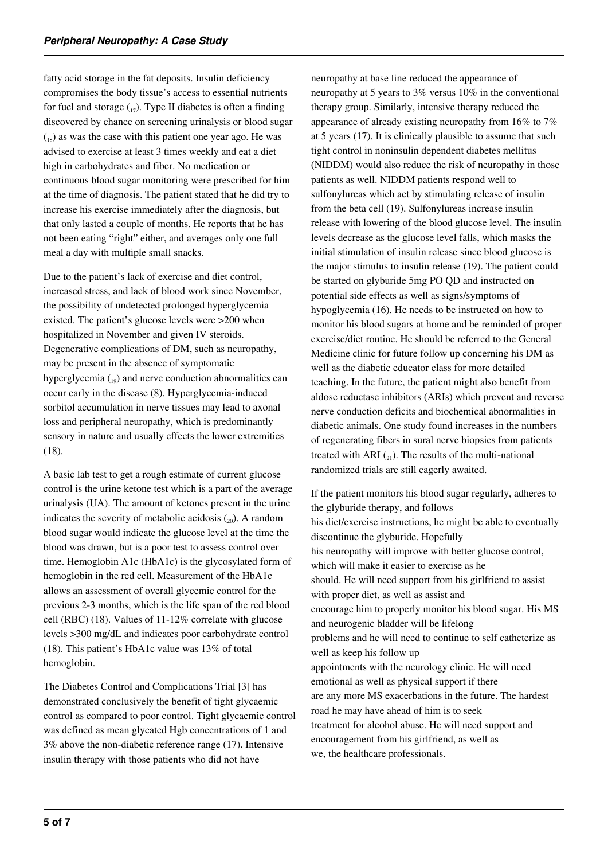fatty acid storage in the fat deposits. Insulin deficiency compromises the body tissue's access to essential nutrients for fuel and storage  $\binom{1}{12}$ . Type II diabetes is often a finding discovered by chance on screening urinalysis or blood sugar  $\binom{18}{18}$  as was the case with this patient one year ago. He was advised to exercise at least 3 times weekly and eat a diet high in carbohydrates and fiber. No medication or continuous blood sugar monitoring were prescribed for him at the time of diagnosis. The patient stated that he did try to increase his exercise immediately after the diagnosis, but that only lasted a couple of months. He reports that he has not been eating "right" either, and averages only one full meal a day with multiple small snacks.

Due to the patient's lack of exercise and diet control, increased stress, and lack of blood work since November, the possibility of undetected prolonged hyperglycemia existed. The patient's glucose levels were >200 when hospitalized in November and given IV steroids. Degenerative complications of DM, such as neuropathy, may be present in the absence of symptomatic hyperglycemia  $\binom{19}{19}$  and nerve conduction abnormalities can occur early in the disease (8). Hyperglycemia-induced sorbitol accumulation in nerve tissues may lead to axonal loss and peripheral neuropathy, which is predominantly sensory in nature and usually effects the lower extremities (18).

A basic lab test to get a rough estimate of current glucose control is the urine ketone test which is a part of the average urinalysis (UA). The amount of ketones present in the urine indicates the severity of metabolic acidosis  $\binom{20}{20}$ . A random blood sugar would indicate the glucose level at the time the blood was drawn, but is a poor test to assess control over time. Hemoglobin A1c (HbA1c) is the glycosylated form of hemoglobin in the red cell. Measurement of the HbA1c allows an assessment of overall glycemic control for the previous 2-3 months, which is the life span of the red blood cell (RBC) (18). Values of 11-12% correlate with glucose levels >300 mg/dL and indicates poor carbohydrate control (18). This patient's HbA1c value was 13% of total hemoglobin.

The Diabetes Control and Complications Trial [3] has demonstrated conclusively the benefit of tight glycaemic control as compared to poor control. Tight glycaemic control was defined as mean glycated Hgb concentrations of 1 and 3% above the non-diabetic reference range (17). Intensive insulin therapy with those patients who did not have

neuropathy at base line reduced the appearance of neuropathy at 5 years to 3% versus 10% in the conventional therapy group. Similarly, intensive therapy reduced the appearance of already existing neuropathy from 16% to 7% at 5 years (17). It is clinically plausible to assume that such tight control in noninsulin dependent diabetes mellitus (NIDDM) would also reduce the risk of neuropathy in those patients as well. NIDDM patients respond well to sulfonylureas which act by stimulating release of insulin from the beta cell (19). Sulfonylureas increase insulin release with lowering of the blood glucose level. The insulin levels decrease as the glucose level falls, which masks the initial stimulation of insulin release since blood glucose is the major stimulus to insulin release (19). The patient could be started on glyburide 5mg PO QD and instructed on potential side effects as well as signs/symptoms of hypoglycemia (16). He needs to be instructed on how to monitor his blood sugars at home and be reminded of proper exercise/diet routine. He should be referred to the General Medicine clinic for future follow up concerning his DM as well as the diabetic educator class for more detailed teaching. In the future, the patient might also benefit from aldose reductase inhibitors (ARIs) which prevent and reverse nerve conduction deficits and biochemical abnormalities in diabetic animals. One study found increases in the numbers of regenerating fibers in sural nerve biopsies from patients treated with ARI  $_{(21)}$ . The results of the multi-national randomized trials are still eagerly awaited.

If the patient monitors his blood sugar regularly, adheres to the glyburide therapy, and follows his diet/exercise instructions, he might be able to eventually discontinue the glyburide. Hopefully his neuropathy will improve with better glucose control, which will make it easier to exercise as he should. He will need support from his girlfriend to assist with proper diet, as well as assist and encourage him to properly monitor his blood sugar. His MS and neurogenic bladder will be lifelong problems and he will need to continue to self catheterize as well as keep his follow up appointments with the neurology clinic. He will need emotional as well as physical support if there are any more MS exacerbations in the future. The hardest road he may have ahead of him is to seek treatment for alcohol abuse. He will need support and encouragement from his girlfriend, as well as we, the healthcare professionals.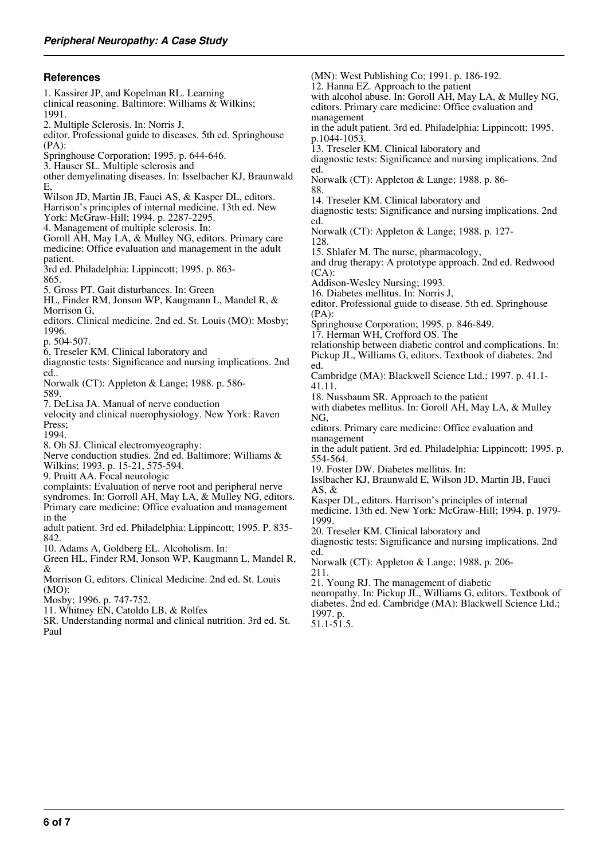#### **References**

1. Kassirer JP, and Kopelman RL. Learning clinical reasoning. Baltimore: Williams & Wilkins; 1991. 2. Multiple Sclerosis. In: Norris J, editor. Professional guide to diseases. 5th ed. Springhouse (PA): Springhouse Corporation; 1995. p. 644-646. 3. Hauser SL. Multiple sclerosis and other demyelinating diseases. In: Isselbacher KJ, Braunwald E, Wilson JD, Martin JB, Fauci AS, & Kasper DL, editors. Harrison's principles of internal medicine. 13th ed. New York: McGraw-Hill; 1994. p. 2287-2295. 4. Management of multiple sclerosis. In: Goroll AH, May LA, & Mulley NG, editors. Primary care medicine: Office evaluation and management in the adult patient. 3rd ed. Philadelphia: Lippincott; 1995. p. 863- 865. 5. Gross PT. Gait disturbances. In: Green HL, Finder RM, Jonson WP, Kaugmann L, Mandel R, & Morrison G, editors. Clinical medicine. 2nd ed. St. Louis (MO): Mosby; 1996. p. 504-507. 6. Treseler KM. Clinical laboratory and diagnostic tests: Significance and nursing implications. 2nd ed.. Norwalk (CT): Appleton & Lange; 1988. p. 586- 589. 7. DeLisa JA. Manual of nerve conduction velocity and clinical nuerophysiology. New York: Raven Press; 1994. 8. Oh SJ. Clinical electromyeography: Nerve conduction studies. 2nd ed. Baltimore: Williams & Wilkins; 1993. p. 15-21, 575-594. 9. Pruitt AA. Focal neurologic complaints: Evaluation of nerve root and peripheral nerve syndromes. In: Gorroll AH, May LA, & Mulley NG, editors. Primary care medicine: Office evaluation and management in the adult patient. 3rd ed. Philadelphia: Lippincott; 1995. P. 835- 842. 10. Adams A, Goldberg EL. Alcoholism. In: Green HL, Finder RM, Jonson WP, Kaugmann L, Mandel R, & Morrison G, editors. Clinical Medicine. 2nd ed. St. Louis (MO): Mosby; 1996. p. 747-752. (MN): West Publishing Co; 1991. p. 186-192. ed. 88. ed. 128. (CA): (PA): ed. 41.11. NG, 554-564. AS,  $\&$ 1999. ed. 211.

- 11. Whitney EN, Catoldo LB, & Rolfes
- SR. Understanding normal and clinical nutrition. 3rd ed. St. Paul
- 12. Hanna EZ. Approach to the patient with alcohol abuse. In: Goroll AH, May LA, & Mulley NG, editors. Primary care medicine: Office evaluation and management in the adult patient. 3rd ed. Philadelphia: Lippincott; 1995. p.1044-1053. 13. Treseler KM. Clinical laboratory and diagnostic tests: Significance and nursing implications. 2nd Norwalk (CT): Appleton & Lange; 1988. p. 86- 14. Treseler KM. Clinical laboratory and diagnostic tests: Significance and nursing implications. 2nd Norwalk (CT): Appleton & Lange; 1988. p. 127- 15. Shlafer M. The nurse, pharmacology, and drug therapy: A prototype approach. 2nd ed. Redwood Addison-Wesley Nursing; 1993. 16. Diabetes mellitus. In: Norris J, editor. Professional guide to disease. 5th ed. Springhouse Springhouse Corporation; 1995. p. 846-849. 17. Herman WH, Crofford OS. The relationship between diabetic control and complications. In: Pickup JL, Williams G, editors. Textbook of diabetes. 2nd Cambridge (MA): Blackwell Science Ltd.; 1997. p. 41.1- 18. Nussbaum SR. Approach to the patient with diabetes mellitus. In: Goroll AH, May LA, & Mulley editors. Primary care medicine: Office evaluation and management in the adult patient. 3rd ed. Philadelphia: Lippincott; 1995. p. 19. Foster DW. Diabetes mellitus. In: Isslbacher KJ, Braunwald E, Wilson JD, Martin JB, Fauci Kasper DL, editors. Harrison's principles of internal medicine. 13th ed. New York: McGraw-Hill; 1994. p. 1979- 20. Treseler KM. Clinical laboratory and diagnostic tests: Significance and nursing implications. 2nd Norwalk (CT): Appleton & Lange; 1988. p. 206- 21. Young RJ. The management of diabetic neuropathy. In: Pickup JL, Williams G, editors. Textbook of diabetes. 2nd ed. Cambridge (MA): Blackwell Science Ltd.;
	- 1997. p. 51.1-51.5.